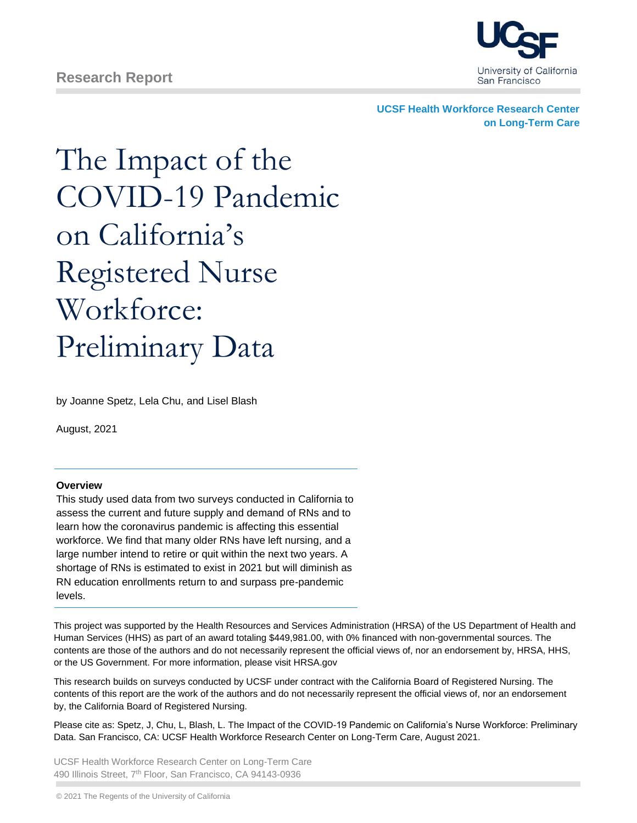

**UCSF Health Workforce Research Center on Long-Term Care**

# The Impact of the COVID-19 Pandemic on California's Registered Nurse Workforce: Preliminary Data

by Joanne Spetz, Lela Chu, and Lisel Blash

August, 2021

#### **Overview**

This study used data from two surveys conducted in California to assess the current and future supply and demand of RNs and to learn how the coronavirus pandemic is affecting this essential workforce. We find that many older RNs have left nursing, and a large number intend to retire or quit within the next two years. A shortage of RNs is estimated to exist in 2021 but will diminish as RN education enrollments return to and surpass pre-pandemic levels.

This project was supported by the Health Resources and Services Administration (HRSA) of the US Department of Health and Human Services (HHS) as part of an award totaling \$449,981.00, with 0% financed with non-governmental sources. The contents are those of the authors and do not necessarily represent the official views of, nor an endorsement by, HRSA, HHS, or the US Government. For more information, please visit HRSA.gov

This research builds on surveys conducted by UCSF under contract with the California Board of Registered Nursing. The contents of this report are the work of the authors and do not necessarily represent the official views of, nor an endorsement by, the California Board of Registered Nursing.

Please cite as: Spetz, J, Chu, L, Blash, L. The Impact of the COVID-19 Pandemic on California's Nurse Workforce: Preliminary Data. San Francisco, CA: UCSF Health Workforce Research Center on Long-Term Care, August 2021.

UCSF Health Workforce Research Center on Long-Term Care 490 Illinois Street, 7<sup>th</sup> Floor, San Francisco, CA 94143-0936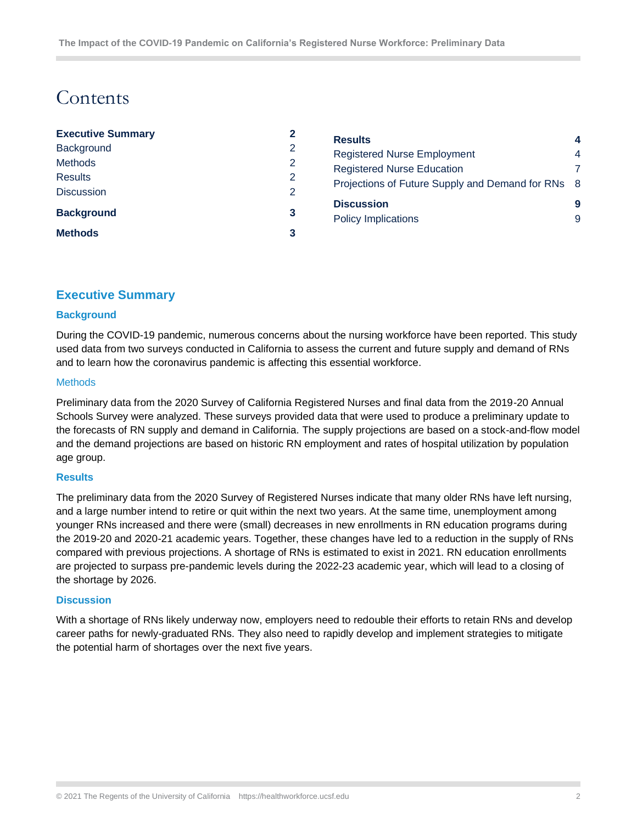# Contents

|   |                            | 4                                                                                                                                              |
|---|----------------------------|------------------------------------------------------------------------------------------------------------------------------------------------|
| 2 |                            | 4                                                                                                                                              |
| 2 |                            |                                                                                                                                                |
| 2 |                            |                                                                                                                                                |
| 2 |                            |                                                                                                                                                |
|   | <b>Discussion</b>          | 9                                                                                                                                              |
|   | <b>Policy Implications</b> | 9                                                                                                                                              |
| 3 |                            |                                                                                                                                                |
|   | 3                          | <b>Results</b><br><b>Registered Nurse Employment</b><br><b>Registered Nurse Education</b><br>Projections of Future Supply and Demand for RNs 8 |

# <span id="page-1-0"></span>**Executive Summary**

#### <span id="page-1-1"></span>**Background**

During the COVID-19 pandemic, numerous concerns about the nursing workforce have been reported. This study used data from two surveys conducted in California to assess the current and future supply and demand of RNs and to learn how the coronavirus pandemic is affecting this essential workforce.

#### <span id="page-1-2"></span>**Methods**

Preliminary data from the 2020 Survey of California Registered Nurses and final data from the 2019-20 Annual Schools Survey were analyzed. These surveys provided data that were used to produce a preliminary update to the forecasts of RN supply and demand in California. The supply projections are based on a stock-and-flow model and the demand projections are based on historic RN employment and rates of hospital utilization by population age group.

#### <span id="page-1-3"></span>**Results**

The preliminary data from the 2020 Survey of Registered Nurses indicate that many older RNs have left nursing, and a large number intend to retire or quit within the next two years. At the same time, unemployment among younger RNs increased and there were (small) decreases in new enrollments in RN education programs during the 2019-20 and 2020-21 academic years. Together, these changes have led to a reduction in the supply of RNs compared with previous projections. A shortage of RNs is estimated to exist in 2021. RN education enrollments are projected to surpass pre-pandemic levels during the 2022-23 academic year, which will lead to a closing of the shortage by 2026.

#### <span id="page-1-4"></span>**Discussion**

With a shortage of RNs likely underway now, employers need to redouble their efforts to retain RNs and develop career paths for newly-graduated RNs. They also need to rapidly develop and implement strategies to mitigate the potential harm of shortages over the next five years.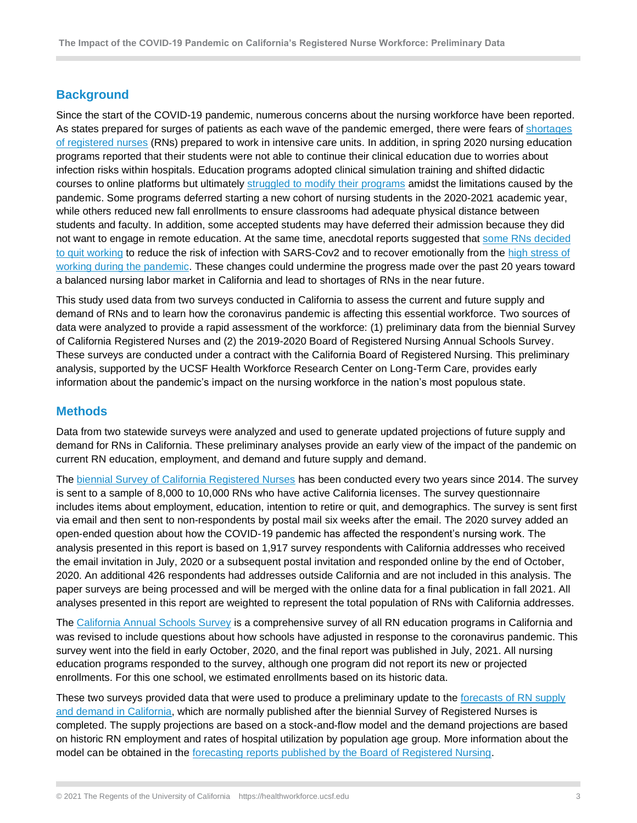# <span id="page-2-0"></span>**Background**

Since the start of the COVID-19 pandemic, numerous concerns about the nursing workforce have been reported. As states prepared for surges of patients as each wave of the pandemic emerged, there were fears of [shortages](https://www.mercurynews.com/2020/12/30/nursing-shortage-grows-acute-amid-covid-19-pandemic/)  [of registered nurses](https://www.mercurynews.com/2020/12/30/nursing-shortage-grows-acute-amid-covid-19-pandemic/) (RNs) prepared to work in intensive care units. In addition, in spring 2020 nursing education programs reported that their students were not able to continue their clinical education due to worries about infection risks within hospitals. Education programs adopted clinical simulation training and shifted didactic courses to online platforms but ultimately [struggled to modify their programs](https://calmatters.org/education/higher-education/college-beat-higher-education/2021/03/nursing-schools-simulations-pandemic/) amidst the limitations caused by the pandemic. Some programs deferred starting a new cohort of nursing students in the 2020-2021 academic year, while others reduced new fall enrollments to ensure classrooms had adequate physical distance between students and faculty. In addition, some accepted students may have deferred their admission because they did not want to engage in remote education. At the same time, anecdotal reports suggested that [some RNs decided](https://morningconsult.com/2021/01/25/about-a-quarter-of-health-care-workers-have-considered-leaving-their-job-since-the-onset-of-the-pandemic/https:/morningconsult.com/2021/01/25/about-a-quarter-of-health-care-workers-have-considered-leaving-their-job-since-the-onset-of-the-pandemic/) [to quit working](https://morningconsult.com/2021/01/25/about-a-quarter-of-health-care-workers-have-considered-leaving-their-job-since-the-onset-of-the-pandemic/https:/morningconsult.com/2021/01/25/about-a-quarter-of-health-care-workers-have-considered-leaving-their-job-since-the-onset-of-the-pandemic/) to reduce the risk of infection with SARS-Cov2 and to recover emotionally from the high stress of [working during the pandemic.](https://morningconsult.com/2021/01/25/we-are-burned-out-nearly-1-in-2-health-care-workers-say-covid-19-has-harmed-their-mental-health/) These changes could undermine the progress made over the past 20 years toward a balanced nursing labor market in California and lead to shortages of RNs in the near future.

This study used data from two surveys conducted in California to assess the current and future supply and demand of RNs and to learn how the coronavirus pandemic is affecting this essential workforce. Two sources of data were analyzed to provide a rapid assessment of the workforce: (1) preliminary data from the biennial Survey of California Registered Nurses and (2) the 2019-2020 Board of Registered Nursing Annual Schools Survey. These surveys are conducted under a contract with the California Board of Registered Nursing. This preliminary analysis, supported by the UCSF Health Workforce Research Center on Long-Term Care, provides early information about the pandemic's impact on the nursing workforce in the nation's most populous state.

# <span id="page-2-1"></span>**Methods**

Data from two statewide surveys were analyzed and used to generate updated projections of future supply and demand for RNs in California. These preliminary analyses provide an early view of the impact of the pandemic on current RN education, employment, and demand and future supply and demand.

The [biennial Survey of California Registered Nurses](https://rn.ca.gov/forms/reports.shtml#rnsurvey) has been conducted every two years since 2014. The survey is sent to a sample of 8,000 to 10,000 RNs who have active California licenses. The survey questionnaire includes items about employment, education, intention to retire or quit, and demographics. The survey is sent first via email and then sent to non-respondents by postal mail six weeks after the email. The 2020 survey added an open-ended question about how the COVID-19 pandemic has affected the respondent's nursing work. The analysis presented in this report is based on 1,917 survey respondents with California addresses who received the email invitation in July, 2020 or a subsequent postal invitation and responded online by the end of October, 2020. An additional 426 respondents had addresses outside California and are not included in this analysis. The paper surveys are being processed and will be merged with the online data for a final publication in fall 2021. All analyses presented in this report are weighted to represent the total population of RNs with California addresses.

The [California Annual Schools Survey](https://rn.ca.gov/forms/reports.shtml) is a comprehensive survey of all RN education programs in California and was revised to include questions about how schools have adjusted in response to the coronavirus pandemic. This survey went into the field in early October, 2020, and the final report was published in July, 2021. All nursing education programs responded to the survey, although one program did not report its new or projected enrollments. For this one school, we estimated enrollments based on its historic data.

These two surveys provided data that were used to produce a preliminary update to the forecasts of RN supply [and demand in California,](https://rn.ca.gov/forms/reports.shtml#rnsurvey) which are normally published after the biennial Survey of Registered Nurses is completed. The supply projections are based on a stock-and-flow model and the demand projections are based on historic RN employment and rates of hospital utilization by population age group. More information about the model can be obtained in the [forecasting reports published by the Board of Registered Nursing.](https://rn.ca.gov/forms/reports.shtml#rnsurvey)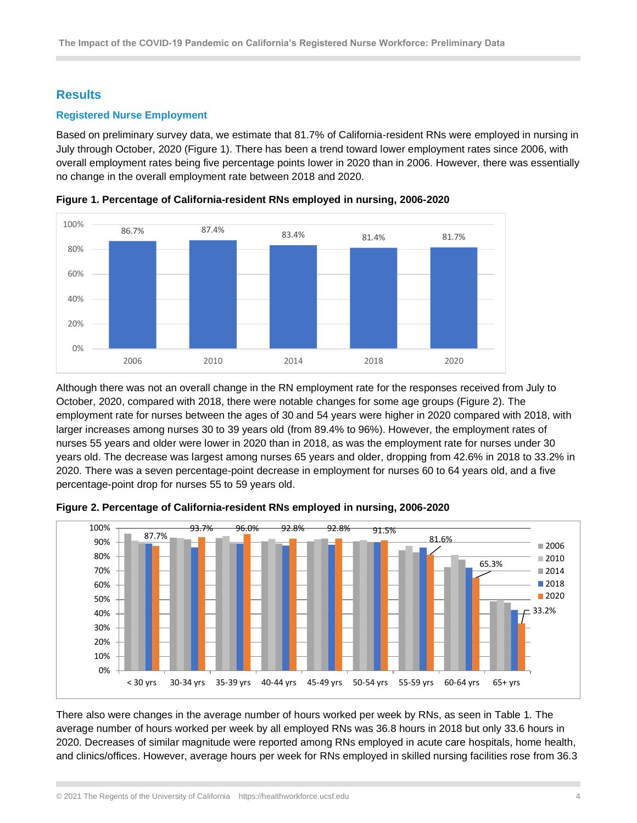# <span id="page-3-0"></span>**Results**

# <span id="page-3-1"></span>**Registered Nurse Employment**

Based on preliminary survey data, we estimate that 81.7% of California-resident RNs were employed in nursing in July through October, 2020 (Figure 1). There has been a trend toward lower employment rates since 2006, with overall employment rates being five percentage points lower in 2020 than in 2006. However, there was essentially no change in the overall employment rate between 2018 and 2020.



**Figure 1. Percentage of California-resident RNs employed in nursing, 2006-2020**

Although there was not an overall change in the RN employment rate for the responses received from July to October, 2020, compared with 2018, there were notable changes for some age groups (Figure 2). The employment rate for nurses between the ages of 30 and 54 years were higher in 2020 compared with 2018, with larger increases among nurses 30 to 39 years old (from 89.4% to 96%). However, the employment rates of nurses 55 years and older were lower in 2020 than in 2018, as was the employment rate for nurses under 30 years old. The decrease was largest among nurses 65 years and older, dropping from 42.6% in 2018 to 33.2% in 2020. There was a seven percentage-point decrease in employment for nurses 60 to 64 years old, and a five percentage-point drop for nurses 55 to 59 years old.



**Figure 2. Percentage of California-resident RNs employed in nursing, 2006-2020**

There also were changes in the average number of hours worked per week by RNs, as seen in Table 1. The average number of hours worked per week by all employed RNs was 36.8 hours in 2018 but only 33.6 hours in 2020. Decreases of similar magnitude were reported among RNs employed in acute care hospitals, home health, and clinics/offices. However, average hours per week for RNs employed in skilled nursing facilities rose from 36.3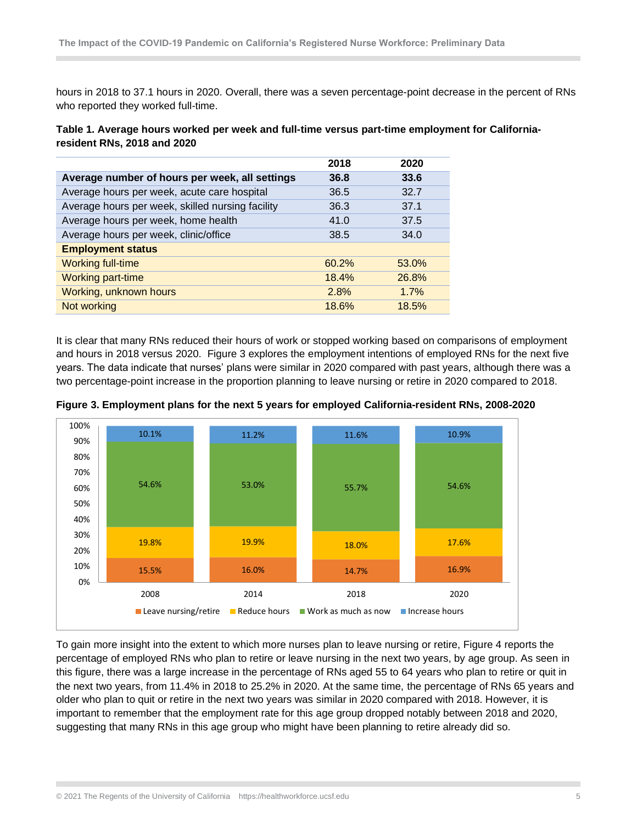hours in 2018 to 37.1 hours in 2020. Overall, there was a seven percentage-point decrease in the percent of RNs who reported they worked full-time.

| Table 1. Average hours worked per week and full-time versus part-time employment for California- |  |
|--------------------------------------------------------------------------------------------------|--|
| resident RNs, 2018 and 2020                                                                      |  |

|                                                  | 2018  | 2020  |
|--------------------------------------------------|-------|-------|
| Average number of hours per week, all settings   | 36.8  | 33.6  |
| Average hours per week, acute care hospital      | 36.5  | 32.7  |
| Average hours per week, skilled nursing facility | 36.3  | 37.1  |
| Average hours per week, home health              | 41.0  | 37.5  |
| Average hours per week, clinic/office            | 38.5  | 34.0  |
| <b>Employment status</b>                         |       |       |
| <b>Working full-time</b>                         | 60.2% | 53.0% |
| <b>Working part-time</b>                         | 18.4% | 26.8% |
| Working, unknown hours                           | 2.8%  | 1.7%  |
| Not working                                      | 18.6% | 18.5% |

It is clear that many RNs reduced their hours of work or stopped working based on comparisons of employment and hours in 2018 versus 2020. Figure 3 explores the employment intentions of employed RNs for the next five years. The data indicate that nurses' plans were similar in 2020 compared with past years, although there was a two percentage-point increase in the proportion planning to leave nursing or retire in 2020 compared to 2018.



**Figure 3. Employment plans for the next 5 years for employed California-resident RNs, 2008-2020**

To gain more insight into the extent to which more nurses plan to leave nursing or retire, Figure 4 reports the percentage of employed RNs who plan to retire or leave nursing in the next two years, by age group. As seen in this figure, there was a large increase in the percentage of RNs aged 55 to 64 years who plan to retire or quit in the next two years, from 11.4% in 2018 to 25.2% in 2020. At the same time, the percentage of RNs 65 years and older who plan to quit or retire in the next two years was similar in 2020 compared with 2018. However, it is important to remember that the employment rate for this age group dropped notably between 2018 and 2020, suggesting that many RNs in this age group who might have been planning to retire already did so.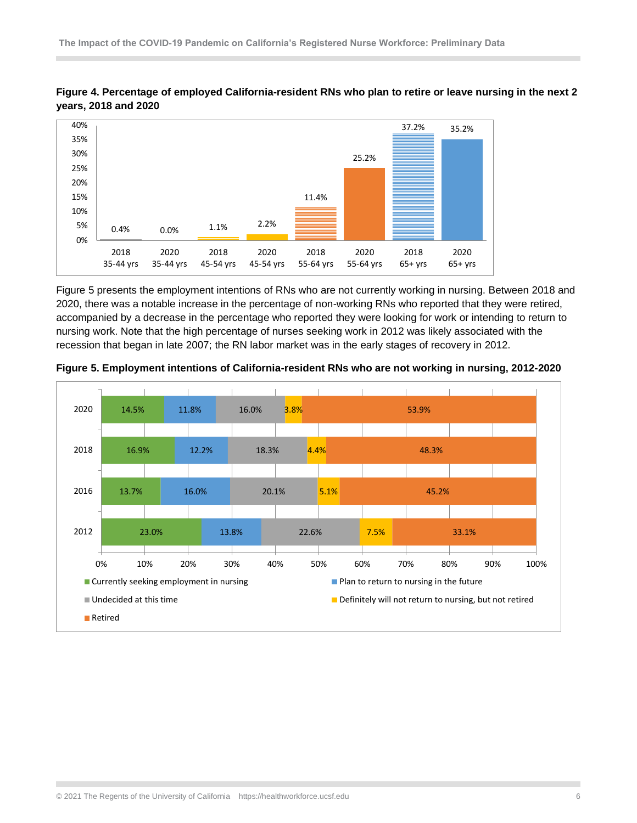

**Figure 4. Percentage of employed California-resident RNs who plan to retire or leave nursing in the next 2 years, 2018 and 2020**

Figure 5 presents the employment intentions of RNs who are not currently working in nursing. Between 2018 and 2020, there was a notable increase in the percentage of non-working RNs who reported that they were retired, accompanied by a decrease in the percentage who reported they were looking for work or intending to return to nursing work. Note that the high percentage of nurses seeking work in 2012 was likely associated with the recession that began in late 2007; the RN labor market was in the early stages of recovery in 2012.



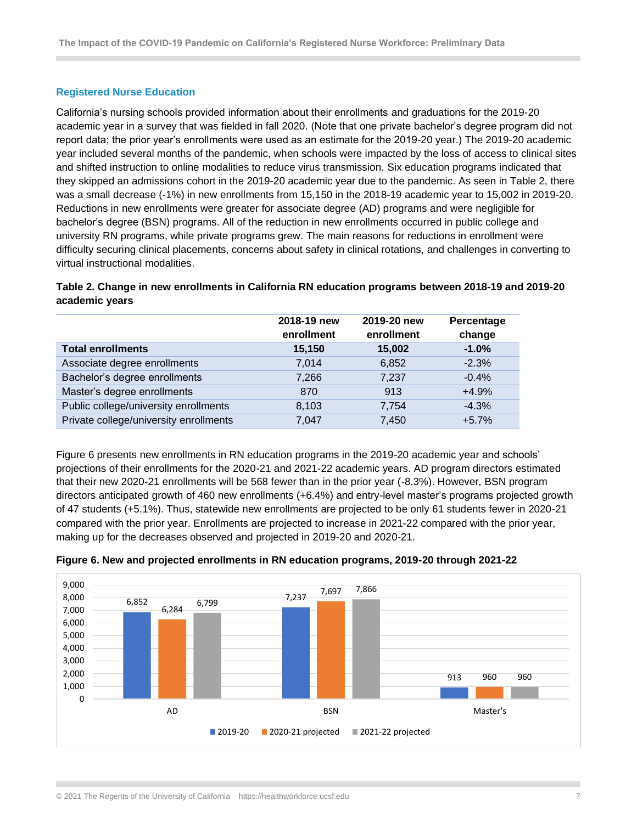#### <span id="page-6-0"></span>**Registered Nurse Education**

California's nursing schools provided information about their enrollments and graduations for the 2019-20 academic year in a survey that was fielded in fall 2020. (Note that one private bachelor's degree program did not report data; the prior year's enrollments were used as an estimate for the 2019-20 year.) The 2019-20 academic year included several months of the pandemic, when schools were impacted by the loss of access to clinical sites and shifted instruction to online modalities to reduce virus transmission. Six education programs indicated that they skipped an admissions cohort in the 2019-20 academic year due to the pandemic. As seen in Table 2, there was a small decrease (-1%) in new enrollments from 15,150 in the 2018-19 academic year to 15,002 in 2019-20. Reductions in new enrollments were greater for associate degree (AD) programs and were negligible for bachelor's degree (BSN) programs. All of the reduction in new enrollments occurred in public college and university RN programs, while private programs grew. The main reasons for reductions in enrollment were difficulty securing clinical placements, concerns about safety in clinical rotations, and challenges in converting to virtual instructional modalities.

## **Table 2. Change in new enrollments in California RN education programs between 2018-19 and 2019-20 academic years**

|                                        | 2018-19 new<br>enrollment | 2019-20 new<br>enrollment | Percentage<br>change |
|----------------------------------------|---------------------------|---------------------------|----------------------|
| <b>Total enrollments</b>               | 15,150                    | 15,002                    | $-1.0%$              |
| Associate degree enrollments           | 7,014                     | 6,852                     | $-2.3%$              |
| Bachelor's degree enrollments          | 7,266                     | 7,237                     | $-0.4%$              |
| Master's degree enrollments            | 870                       | 913                       | $+4.9%$              |
| Public college/university enrollments  | 8,103                     | 7,754                     | $-4.3%$              |
| Private college/university enrollments | 7,047                     | 7,450                     | $+5.7%$              |

Figure 6 presents new enrollments in RN education programs in the 2019-20 academic year and schools' projections of their enrollments for the 2020-21 and 2021-22 academic years. AD program directors estimated that their new 2020-21 enrollments will be 568 fewer than in the prior year (-8.3%). However, BSN program directors anticipated growth of 460 new enrollments (+6.4%) and entry-level master's programs projected growth of 47 students (+5.1%). Thus, statewide new enrollments are projected to be only 61 students fewer in 2020-21 compared with the prior year. Enrollments are projected to increase in 2021-22 compared with the prior year, making up for the decreases observed and projected in 2019-20 and 2020-21.



# **Figure 6. New and projected enrollments in RN education programs, 2019-20 through 2021-22**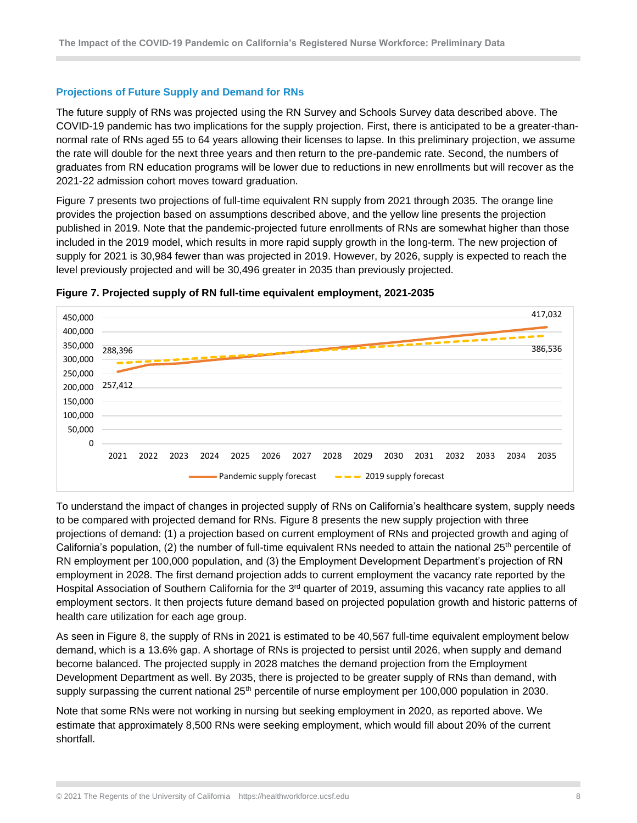#### <span id="page-7-0"></span>**Projections of Future Supply and Demand for RNs**

The future supply of RNs was projected using the RN Survey and Schools Survey data described above. The COVID-19 pandemic has two implications for the supply projection. First, there is anticipated to be a greater-thannormal rate of RNs aged 55 to 64 years allowing their licenses to lapse. In this preliminary projection, we assume the rate will double for the next three years and then return to the pre-pandemic rate. Second, the numbers of graduates from RN education programs will be lower due to reductions in new enrollments but will recover as the 2021-22 admission cohort moves toward graduation.

Figure 7 presents two projections of full-time equivalent RN supply from 2021 through 2035. The orange line provides the projection based on assumptions described above, and the yellow line presents the projection published in 2019. Note that the pandemic-projected future enrollments of RNs are somewhat higher than those included in the 2019 model, which results in more rapid supply growth in the long-term. The new projection of supply for 2021 is 30,984 fewer than was projected in 2019. However, by 2026, supply is expected to reach the level previously projected and will be 30,496 greater in 2035 than previously projected.





To understand the impact of changes in projected supply of RNs on California's healthcare system, supply needs to be compared with projected demand for RNs. Figure 8 presents the new supply projection with three projections of demand: (1) a projection based on current employment of RNs and projected growth and aging of California's population, (2) the number of full-time equivalent RNs needed to attain the national 25<sup>th</sup> percentile of RN employment per 100,000 population, and (3) the Employment Development Department's projection of RN employment in 2028. The first demand projection adds to current employment the vacancy rate reported by the Hospital Association of Southern California for the 3<sup>rd</sup> quarter of 2019, assuming this vacancy rate applies to all employment sectors. It then projects future demand based on projected population growth and historic patterns of health care utilization for each age group.

As seen in Figure 8, the supply of RNs in 2021 is estimated to be 40,567 full-time equivalent employment below demand, which is a 13.6% gap. A shortage of RNs is projected to persist until 2026, when supply and demand become balanced. The projected supply in 2028 matches the demand projection from the Employment Development Department as well. By 2035, there is projected to be greater supply of RNs than demand, with supply surpassing the current national 25<sup>th</sup> percentile of nurse employment per 100,000 population in 2030.

Note that some RNs were not working in nursing but seeking employment in 2020, as reported above. We estimate that approximately 8,500 RNs were seeking employment, which would fill about 20% of the current shortfall.